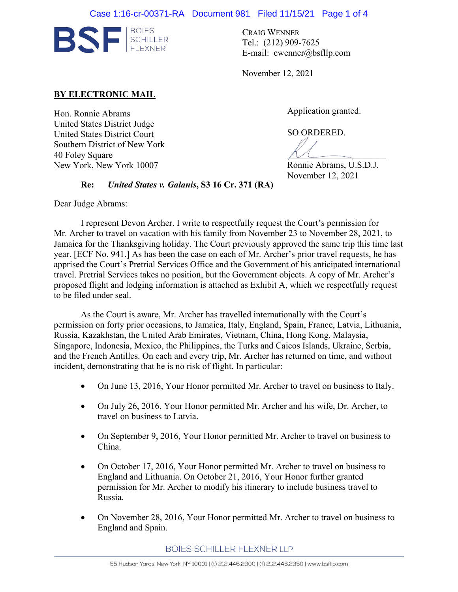

CRAIG WENNER Tel.: (212) 909-7625 E-mail: cwenner@bsfllp.com

November 12, 2021

## **BY ELECTRONIC MAIL**

Hon. Ronnie Abrams United States District Judge United States District Court Southern District of New York 40 Foley Square New York, New York 10007

Application granted.

SO ORDERED.

 $M$ Ronnie Abrams, U.S.D.J.

November 12, 2021

**Re:** *United States v. Galanis***, S3 16 Cr. 371 (RA)** 

Dear Judge Abrams:

I represent Devon Archer. I write to respectfully request the Court's permission for Mr. Archer to travel on vacation with his family from November 23 to November 28, 2021, to Jamaica for the Thanksgiving holiday. The Court previously approved the same trip this time last year. [ECF No. 941.] As has been the case on each of Mr. Archer's prior travel requests, he has apprised the Court's Pretrial Services Office and the Government of his anticipated international travel. Pretrial Services takes no position, but the Government objects. A copy of Mr. Archer's proposed flight and lodging information is attached as Exhibit A, which we respectfully request to be filed under seal.

As the Court is aware, Mr. Archer has travelled internationally with the Court's permission on forty prior occasions, to Jamaica, Italy, England, Spain, France, Latvia, Lithuania, Russia, Kazakhstan, the United Arab Emirates, Vietnam, China, Hong Kong, Malaysia, Singapore, Indonesia, Mexico, the Philippines, the Turks and Caicos Islands, Ukraine, Serbia, and the French Antilles. On each and every trip, Mr. Archer has returned on time, and without incident, demonstrating that he is no risk of flight. In particular:

- On June 13, 2016, Your Honor permitted Mr. Archer to travel on business to Italy.
- On July 26, 2016, Your Honor permitted Mr. Archer and his wife, Dr. Archer, to travel on business to Latvia.
- On September 9, 2016, Your Honor permitted Mr. Archer to travel on business to China.
- On October 17, 2016, Your Honor permitted Mr. Archer to travel on business to England and Lithuania. On October 21, 2016, Your Honor further granted permission for Mr. Archer to modify his itinerary to include business travel to Russia.
- On November 28, 2016, Your Honor permitted Mr. Archer to travel on business to England and Spain.

**BOIES SCHILLER FLEXNER LLP**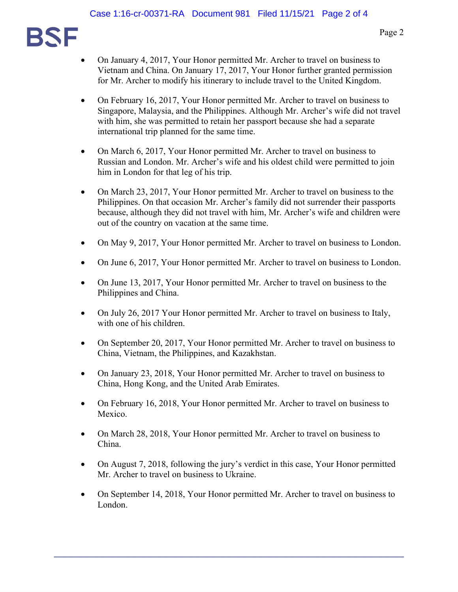

- On January 4, 2017, Your Honor permitted Mr. Archer to travel on business to Vietnam and China. On January 17, 2017, Your Honor further granted permission for Mr. Archer to modify his itinerary to include travel to the United Kingdom.
- On February 16, 2017, Your Honor permitted Mr. Archer to travel on business to Singapore, Malaysia, and the Philippines. Although Mr. Archer's wife did not travel with him, she was permitted to retain her passport because she had a separate international trip planned for the same time.
- On March 6, 2017, Your Honor permitted Mr. Archer to travel on business to Russian and London. Mr. Archer's wife and his oldest child were permitted to join him in London for that leg of his trip.
- On March 23, 2017, Your Honor permitted Mr. Archer to travel on business to the Philippines. On that occasion Mr. Archer's family did not surrender their passports because, although they did not travel with him, Mr. Archer's wife and children were out of the country on vacation at the same time.
- On May 9, 2017, Your Honor permitted Mr. Archer to travel on business to London.
- On June 6, 2017, Your Honor permitted Mr. Archer to travel on business to London.
- On June 13, 2017, Your Honor permitted Mr. Archer to travel on business to the Philippines and China.
- On July 26, 2017 Your Honor permitted Mr. Archer to travel on business to Italy, with one of his children.
- On September 20, 2017, Your Honor permitted Mr. Archer to travel on business to China, Vietnam, the Philippines, and Kazakhstan.
- On January 23, 2018, Your Honor permitted Mr. Archer to travel on business to China, Hong Kong, and the United Arab Emirates.
- On February 16, 2018, Your Honor permitted Mr. Archer to travel on business to Mexico.
- On March 28, 2018, Your Honor permitted Mr. Archer to travel on business to China.
- On August 7, 2018, following the jury's verdict in this case, Your Honor permitted Mr. Archer to travel on business to Ukraine.
- On September 14, 2018, Your Honor permitted Mr. Archer to travel on business to London.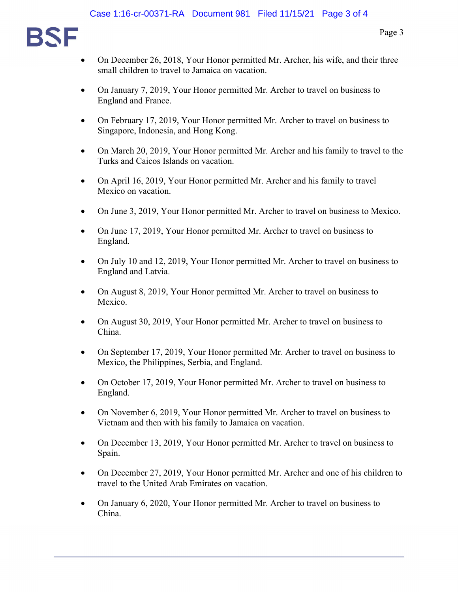

- On December 26, 2018, Your Honor permitted Mr. Archer, his wife, and their three small children to travel to Jamaica on vacation.
- On January 7, 2019, Your Honor permitted Mr. Archer to travel on business to England and France.
- On February 17, 2019, Your Honor permitted Mr. Archer to travel on business to Singapore, Indonesia, and Hong Kong.
- On March 20, 2019, Your Honor permitted Mr. Archer and his family to travel to the Turks and Caicos Islands on vacation.
- On April 16, 2019, Your Honor permitted Mr. Archer and his family to travel Mexico on vacation.
- On June 3, 2019, Your Honor permitted Mr. Archer to travel on business to Mexico.
- On June 17, 2019, Your Honor permitted Mr. Archer to travel on business to England.
- On July 10 and 12, 2019, Your Honor permitted Mr. Archer to travel on business to England and Latvia.
- On August 8, 2019, Your Honor permitted Mr. Archer to travel on business to Mexico.
- On August 30, 2019, Your Honor permitted Mr. Archer to travel on business to China.
- On September 17, 2019, Your Honor permitted Mr. Archer to travel on business to Mexico, the Philippines, Serbia, and England.
- On October 17, 2019, Your Honor permitted Mr. Archer to travel on business to England.
- On November 6, 2019, Your Honor permitted Mr. Archer to travel on business to Vietnam and then with his family to Jamaica on vacation.
- On December 13, 2019, Your Honor permitted Mr. Archer to travel on business to Spain.
- On December 27, 2019, Your Honor permitted Mr. Archer and one of his children to travel to the United Arab Emirates on vacation.
- On January 6, 2020, Your Honor permitted Mr. Archer to travel on business to China.